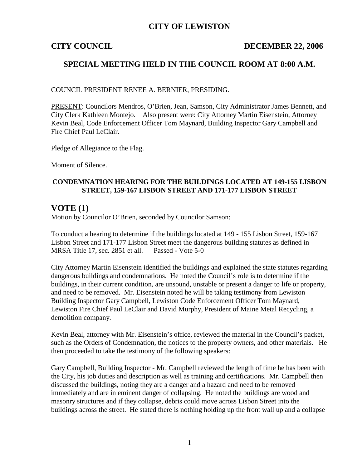## **CITY OF LEWISTON**

### **CITY COUNCIL DECEMBER 22, 2006**

## **SPECIAL MEETING HELD IN THE COUNCIL ROOM AT 8:00 A.M.**

COUNCIL PRESIDENT RENEE A. BERNIER, PRESIDING.

PRESENT: Councilors Mendros, O'Brien, Jean, Samson, City Administrator James Bennett, and City Clerk Kathleen Montejo. Also present were: City Attorney Martin Eisenstein, Attorney Kevin Beal, Code Enforcement Officer Tom Maynard, Building Inspector Gary Campbell and Fire Chief Paul LeClair.

Pledge of Allegiance to the Flag.

Moment of Silence.

### **CONDEMNATION HEARING FOR THE BUILDINGS LOCATED AT 149-155 LISBON STREET, 159-167 LISBON STREET AND 171-177 LISBON STREET**

### **VOTE (1)**

Motion by Councilor O'Brien, seconded by Councilor Samson:

To conduct a hearing to determine if the buildings located at 149 - 155 Lisbon Street, 159-167 Lisbon Street and 171-177 Lisbon Street meet the dangerous building statutes as defined in MRSA Title 17, sec. 2851 et all. Passed - Vote 5-0

City Attorney Martin Eisenstein identified the buildings and explained the state statutes regarding dangerous buildings and condemnations. He noted the Council's role is to determine if the buildings, in their current condition, are unsound, unstable or present a danger to life or property, and need to be removed. Mr. Eisenstein noted he will be taking testimony from Lewiston Building Inspector Gary Campbell, Lewiston Code Enforcement Officer Tom Maynard, Lewiston Fire Chief Paul LeClair and David Murphy, President of Maine Metal Recycling, a demolition company.

Kevin Beal, attorney with Mr. Eisenstein's office, reviewed the material in the Council's packet, such as the Orders of Condemnation, the notices to the property owners, and other materials. He then proceeded to take the testimony of the following speakers:

Gary Campbell, Building Inspector - Mr. Campbell reviewed the length of time he has been with the City, his job duties and description as well as training and certifications. Mr. Campbell then discussed the buildings, noting they are a danger and a hazard and need to be removed immediately and are in eminent danger of collapsing. He noted the buildings are wood and masonry structures and if they collapse, debris could move across Lisbon Street into the buildings across the street. He stated there is nothing holding up the front wall up and a collapse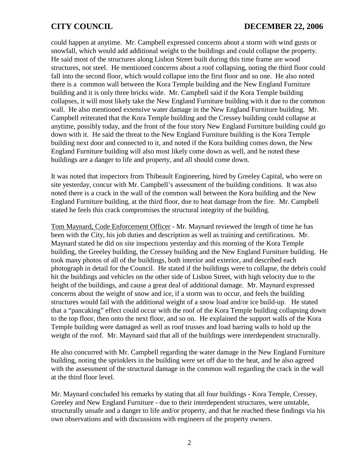could happen at anytime. Mr. Campbell expressed concerns about a storm with wind gusts or snowfall, which would add additional weight to the buildings and could collapse the property. He said most of the structures along Lisbon Street built during this time frame are wood structures, not steel. He mentioned concerns about a roof collapsing, noting the third floor could fall into the second floor, which would collapse into the first floor and so one. He also noted there is a common wall between the Kora Temple building and the New England Furniture building and it is only three bricks wide. Mr. Campbell said if the Kora Temple building collapses, it will most likely take the New England Furniture building with it due to the common wall. He also mentioned extensive water damage in the New England Furniture building. Mr. Campbell reiterated that the Kora Temple building and the Cressey building could collapse at anytime, possibly today, and the front of the four story New England Furniture building could go down with it. He said the threat to the New England Furniture building is the Kora Temple building next door and connected to it, and noted if the Kora building comes down, the New England Furniture building will also most likely come down as well, and he noted these buildings are a danger to life and property, and all should come down.

It was noted that inspectors from Thibeault Engineering, hired by Greeley Capital, who were on site yesterday, concur with Mr. Campbell's assessment of the building conditions. It was also noted there is a crack in the wall of the common wall between the Kora building and the New England Furniture building, at the third floor, due to heat damage from the fire. Mr. Campbell stated he feels this crack compromises the structural integrity of the building.

Tom Maynard, Code Enforcement Officer - Mr. Maynard reviewed the length of time he has been with the City, his job duties and description as well as training and certifications. Mr. Maynard stated he did on site inspections yesterday and this morning of the Kora Temple building, the Greeley building, the Cressey building and the New England Furniture building. He took many photos of all of the buildings, both interior and exterior, and described each photograph in detail for the Council. He stated if the buildings were to collapse, the debris could hit the buildings and vehicles on the other side of Lisbon Street, with high velocity due to the height of the buildings, and cause a great deal of additional damage. Mr. Maynard expressed concerns about the weight of snow and ice, if a storm was to occur, and feels the building structures would fail with the additional weight of a snow load and/or ice build-up. He stated that a "pancaking" effect could occur with the roof of the Kora Temple building collapsing down to the top floor, then onto the next floor, and so on. He explained the support walls of the Kora Temple building were damaged as well as roof trusses and load barring walls to hold up the weight of the roof. Mr. Maynard said that all of the buildings were interdependent structurally.

He also concurred with Mr. Campbell regarding the water damage in the New England Furniture building, noting the sprinklers in the building were set off due to the heat, and he also agreed with the assessment of the structural damage in the common wall regarding the crack in the wall at the third floor level.

Mr. Maynard concluded his remarks by stating that all four buildings - Kora Temple, Cressey, Greeley and New England Furniture - due to their interdependent structures, were unstable, structurally unsafe and a danger to life and/or property, and that he reached these findings via his own observations and with discussions with engineers of the property owners.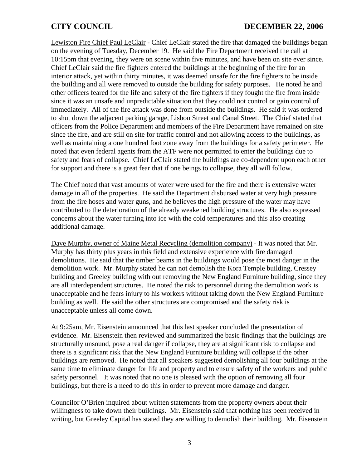### **CITY COUNCIL DECEMBER 22, 2006**

Lewiston Fire Chief Paul LeClair - Chief LeClair stated the fire that damaged the buildings began on the evening of Tuesday, December 19. He said the Fire Department received the call at 10:15pm that evening, they were on scene within five minutes, and have been on site ever since. Chief LeClair said the fire fighters entered the buildings at the beginning of the fire for an interior attack, yet within thirty minutes, it was deemed unsafe for the fire fighters to be inside the building and all were removed to outside the building for safety purposes. He noted he and other officers feared for the life and safety of the fire fighters if they fought the fire from inside since it was an unsafe and unpredictable situation that they could not control or gain control of immediately. All of the fire attack was done from outside the buildings. He said it was ordered to shut down the adjacent parking garage, Lisbon Street and Canal Street. The Chief stated that officers from the Police Department and members of the Fire Department have remained on site since the fire, and are still on site for traffic control and not allowing access to the buildings, as well as maintaining a one hundred foot zone away from the buildings for a safety perimeter. He noted that even federal agents from the ATF were not permitted to enter the buildings due to safety and fears of collapse. Chief LeClair stated the buildings are co-dependent upon each other for support and there is a great fear that if one beings to collapse, they all will follow.

The Chief noted that vast amounts of water were used for the fire and there is extensive water damage in all of the properties. He said the Department disbursed water at very high pressure from the fire hoses and water guns, and he believes the high pressure of the water may have contributed to the deterioration of the already weakened building structures. He also expressed concerns about the water turning into ice with the cold temperatures and this also creating additional damage.

Dave Murphy, owner of Maine Metal Recycling (demolition company) - It was noted that Mr. Murphy has thirty plus years in this field and extensive experience with fire damaged demolitions. He said that the timber beams in the buildings would pose the most danger in the demolition work. Mr. Murphy stated he can not demolish the Kora Temple building, Cressey building and Greeley building with out removing the New England Furniture building, since they are all interdependent structures. He noted the risk to personnel during the demolition work is unacceptable and he fears injury to his workers without taking down the New England Furniture building as well. He said the other structures are compromised and the safety risk is unacceptable unless all come down.

At 9:25am, Mr. Eisenstein announced that this last speaker concluded the presentation of evidence. Mr. Eisenstein then reviewed and summarized the basic findings that the buildings are structurally unsound, pose a real danger if collapse, they are at significant risk to collapse and there is a significant risk that the New England Furniture building will collapse if the other buildings are removed. He noted that all speakers suggested demolishing all four buildings at the same time to eliminate danger for life and property and to ensure safety of the workers and public safety personnel. It was noted that no one is pleased with the option of removing all four buildings, but there is a need to do this in order to prevent more damage and danger.

Councilor O'Brien inquired about written statements from the property owners about their willingness to take down their buildings. Mr. Eisenstein said that nothing has been received in writing, but Greeley Capital has stated they are willing to demolish their building. Mr. Eisenstein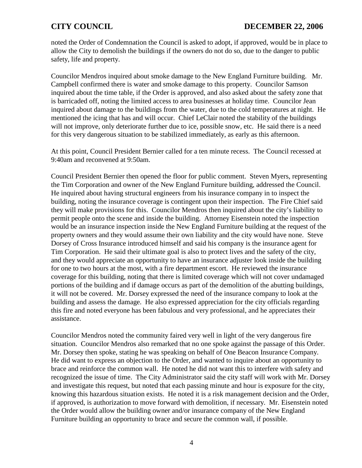noted the Order of Condemnation the Council is asked to adopt, if approved, would be in place to allow the City to demolish the buildings if the owners do not do so, due to the danger to public safety, life and property.

Councilor Mendros inquired about smoke damage to the New England Furniture building. Mr. Campbell confirmed there is water and smoke damage to this property. Councilor Samson inquired about the time table, if the Order is approved, and also asked about the safety zone that is barricaded off, noting the limited access to area businesses at holiday time. Councilor Jean inquired about damage to the buildings from the water, due to the cold temperatures at night. He mentioned the icing that has and will occur. Chief LeClair noted the stability of the buildings will not improve, only deteriorate further due to ice, possible snow, etc. He said there is a need for this very dangerous situation to be stabilized immediately, as early as this afternoon.

At this point, Council President Bernier called for a ten minute recess. The Council recessed at 9:40am and reconvened at 9:50am.

Council President Bernier then opened the floor for public comment. Steven Myers, representing the Tim Corporation and owner of the New England Furniture building, addressed the Council. He inquired about having structural engineers from his insurance company in to inspect the building, noting the insurance coverage is contingent upon their inspection. The Fire Chief said they will make provisions for this. Councilor Mendros then inquired about the city's liability to permit people onto the scene and inside the building. Attorney Eisenstein noted the inspection would be an insurance inspection inside the New England Furniture building at the request of the property owners and they would assume their own liability and the city would have none. Steve Dorsey of Cross Insurance introduced himself and said his company is the insurance agent for Tim Corporation. He said their ultimate goal is also to protect lives and the safety of the city, and they would appreciate an opportunity to have an insurance adjuster look inside the building for one to two hours at the most, with a fire department escort. He reviewed the insurance coverage for this building, noting that there is limited coverage which will not cover undamaged portions of the building and if damage occurs as part of the demolition of the abutting buildings, it will not be covered. Mr. Dorsey expressed the need of the insurance company to look at the building and assess the damage. He also expressed appreciation for the city officials regarding this fire and noted everyone has been fabulous and very professional, and he appreciates their assistance.

Councilor Mendros noted the community faired very well in light of the very dangerous fire situation. Councilor Mendros also remarked that no one spoke against the passage of this Order. Mr. Dorsey then spoke, stating he was speaking on behalf of One Beacon Insurance Company. He did want to express an objection to the Order, and wanted to inquire about an opportunity to brace and reinforce the common wall. He noted he did not want this to interfere with safety and recognized the issue of time. The City Administrator said the city staff will work with Mr. Dorsey and investigate this request, but noted that each passing minute and hour is exposure for the city, knowing this hazardous situation exists. He noted it is a risk management decision and the Order, if approved, is authorization to move forward with demolition, if necessary. Mr. Eisenstein noted the Order would allow the building owner and/or insurance company of the New England Furniture building an opportunity to brace and secure the common wall, if possible.